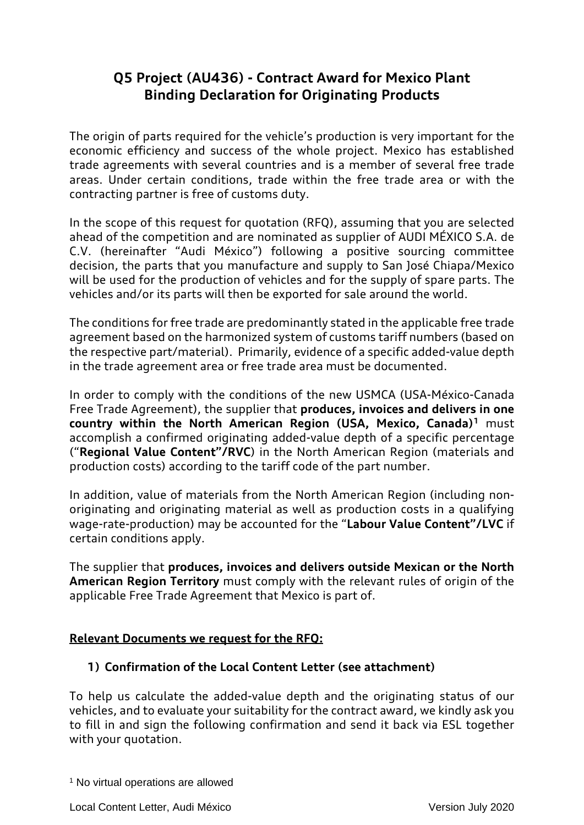# **Q5 Project (AU436) - Contract Award for Mexico Plant Binding Declaration for Originating Products**

The origin of parts required for the vehicle's production is very important for the economic efficiency and success of the whole project. Mexico has established trade agreements with several countries and is a member of several free trade areas. Under certain conditions, trade within the free trade area or with the contracting partner is free of customs duty.

In the scope of this request for quotation (RFQ), assuming that you are selected ahead of the competition and are nominated as supplier of AUDI MÉXICO S.A. de C.V. (hereinafter "Audi México") following a positive sourcing committee decision, the parts that you manufacture and supply to San José Chiapa/Mexico will be used for the production of vehicles and for the supply of spare parts. The vehicles and/or its parts will then be exported for sale around the world.

The conditions for free trade are predominantly stated in the applicable free trade agreement based on the harmonized system of customs tariff numbers (based on the respective part/material). Primarily, evidence of a specific added-value depth in the trade agreement area or free trade area must be documented.

In order to comply with the conditions of the new USMCA (USA-México-Canada Free Trade Agreement), the supplier that **produces, invoices and delivers in one country within the North American Region (USA, Mexico, Canada)1** must accomplish a confirmed originating added-value depth of a specific percentage ("**Regional Value Content"/RVC**) in the North American Region (materials and production costs) according to the tariff code of the part number.

In addition, value of materials from the North American Region (including nonoriginating and originating material as well as production costs in a qualifying wage-rate-production) may be accounted for the "**Labour Value Content"/LVC** if certain conditions apply.

The supplier that **produces, invoices and delivers outside Mexican or the North American Region Territory** must comply with the relevant rules of origin of the applicable Free Trade Agreement that Mexico is part of.

### **Relevant Documents we request for the RFQ:**

### **1) Confirmation of the Local Content Letter (see attachment)**

To help us calculate the added-value depth and the originating status of our vehicles, and to evaluate your suitability for the contract award, we kindly ask you to fill in and sign the following confirmation and send it back via ESL together with your quotation.

<sup>&</sup>lt;sup>1</sup> No virtual operations are allowed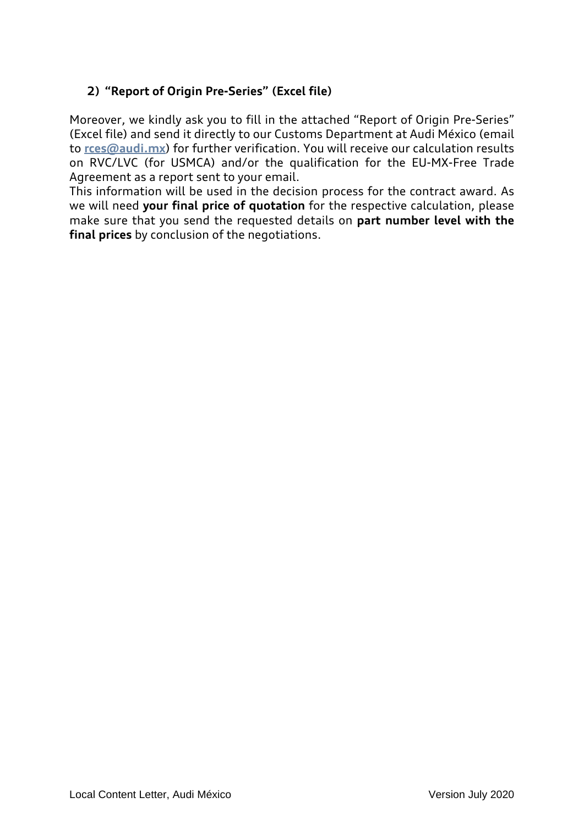## **2) "Report of Origin Pre-Series" (Excel file)**

Moreover, we kindly ask you to fill in the attached "Report of Origin Pre-Series" (Excel file) and send it directly to our Customs Department at Audi México (email to **[rces@audi.mx](mailto:rces@audi.mx)**) for further verification. You will receive our calculation results on RVC/LVC (for USMCA) and/or the qualification for the EU-MX-Free Trade Agreement as a report sent to your email.

This information will be used in the decision process for the contract award. As we will need **your final price of quotation** for the respective calculation, please make sure that you send the requested details on **part number level with the final prices** by conclusion of the negotiations.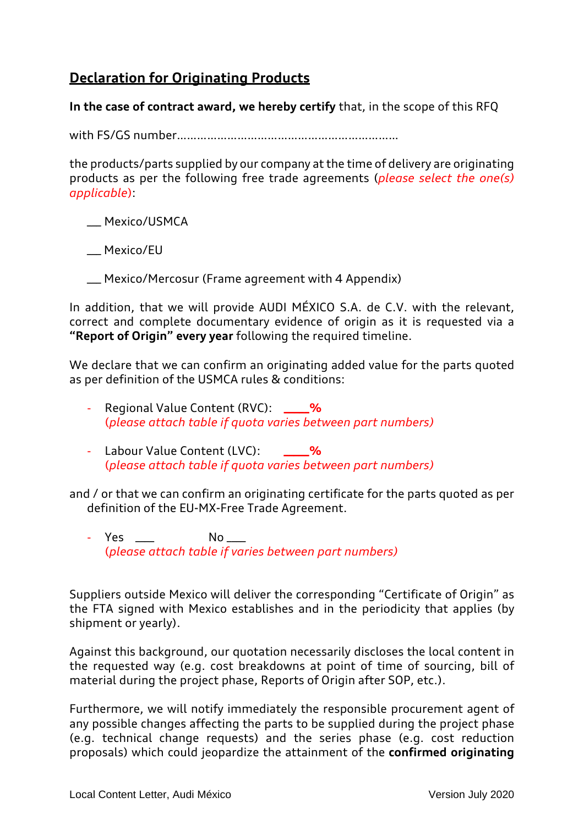# **Declaration for Originating Products**

**In the case of contract award, we hereby certify** that, in the scope of this RFQ

with FS/GS number…………………………………………………………

the products/parts supplied by our company at the time of delivery are originating products as per the following free trade agreements (*please select the one(s) applicable*):

\_\_\_ Mexico/USMCA

\_\_\_ Mexico/EU

\_\_\_ Mexico/Mercosur (Frame agreement with 4 Appendix)

In addition, that we will provide AUDI MÉXICO S.A. de C.V. with the relevant, correct and complete documentary evidence of origin as it is requested via a **"Report of Origin" every year** following the required timeline.

We declare that we can confirm an originating added value for the parts quoted as per definition of the USMCA rules & conditions:

- Regional Value Content (RVC): \_\_\_% (*please attach table if quota varies between part numbers)*
- Labour Value Content (LVC): **\_\_\_\_\_%** (*please attach table if quota varies between part numbers)*

and / or that we can confirm an originating certificate for the parts quoted as per definition of the EU-MX-Free Trade Agreement.

- Yes \_\_\_\_ No \_\_\_ (*please attach table if varies between part numbers)*

Suppliers outside Mexico will deliver the corresponding "Certificate of Origin" as the FTA signed with Mexico establishes and in the periodicity that applies (by shipment or yearly).

Against this background, our quotation necessarily discloses the local content in the requested way (e.g. cost breakdowns at point of time of sourcing, bill of material during the project phase, Reports of Origin after SOP, etc.).

Furthermore, we will notify immediately the responsible procurement agent of any possible changes affecting the parts to be supplied during the project phase (e.g. technical change requests) and the series phase (e.g. cost reduction proposals) which could jeopardize the attainment of the **confirmed originating**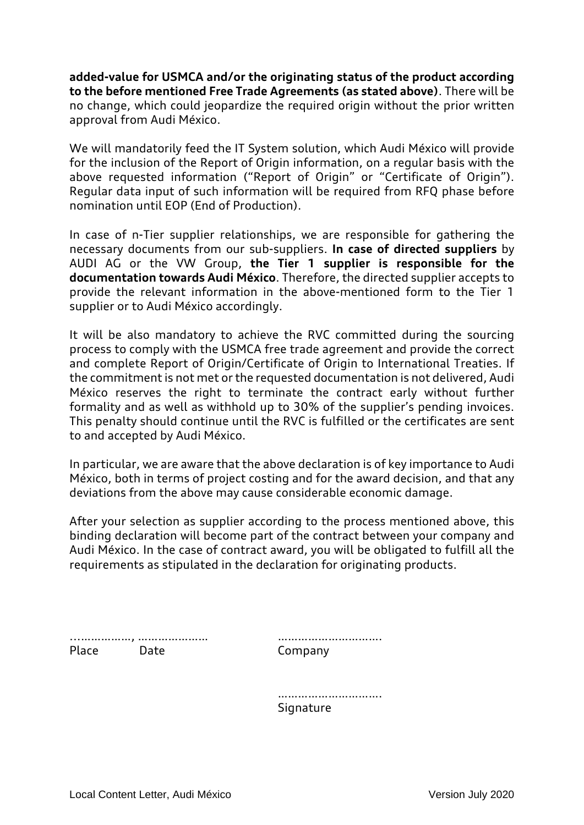**added-value for USMCA and/or the originating status of the product according to the before mentioned Free Trade Agreements (as stated above)**. There will be no change, which could jeopardize the required origin without the prior written approval from Audi México.

We will mandatorily feed the IT System solution, which Audi México will provide for the inclusion of the Report of Origin information, on a regular basis with the above requested information ("Report of Origin" or "Certificate of Origin"). Regular data input of such information will be required from RFQ phase before nomination until EOP (End of Production).

In case of n-Tier supplier relationships, we are responsible for gathering the necessary documents from our sub-suppliers. **In case of directed suppliers** by AUDI AG or the VW Group, **the Tier 1 supplier is responsible for the documentation towards Audi México**. Therefore, the directed supplier accepts to provide the relevant information in the above-mentioned form to the Tier 1 supplier or to Audi México accordingly.

It will be also mandatory to achieve the RVC committed during the sourcing process to comply with the USMCA free trade agreement and provide the correct and complete Report of Origin/Certificate of Origin to International Treaties. If the commitment is not met or the requested documentation is not delivered, Audi México reserves the right to terminate the contract early without further formality and as well as withhold up to 30% of the supplier's pending invoices. This penalty should continue until the RVC is fulfilled or the certificates are sent to and accepted by Audi México.

In particular, we are aware that the above declaration is of key importance to Audi México, both in terms of project costing and for the award decision, and that any deviations from the above may cause considerable economic damage.

After your selection as supplier according to the process mentioned above, this binding declaration will become part of the contract between your company and Audi México. In the case of contract award, you will be obligated to fulfill all the requirements as stipulated in the declaration for originating products.

...……………, ………………… …………………………. Place Date Company

…………………………… **Signature**